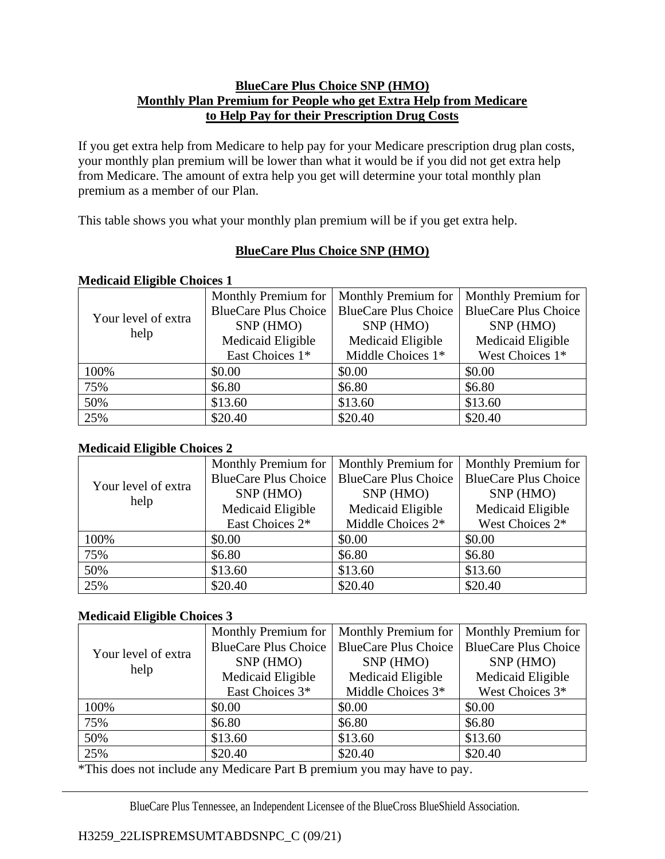### **BlueCare Plus Choice SNP (HMO) Monthly Plan Premium for People who get Extra Help from Medicare to Help Pay for their Prescription Drug Costs**

If you get extra help from Medicare to help pay for your Medicare prescription drug plan costs, your monthly plan premium will be lower than what it would be if you did not get extra help from Medicare. The amount of extra help you get will determine your total monthly plan premium as a member of our Plan.

This table shows you what your monthly plan premium will be if you get extra help.

# **BlueCare Plus Choice SNP (HMO)**

## **Medicaid Eligible Choices 1**

| Your level of extra<br>help | Monthly Premium for         | Monthly Premium for         | <b>Monthly Premium for</b>  |
|-----------------------------|-----------------------------|-----------------------------|-----------------------------|
|                             | <b>BlueCare Plus Choice</b> | <b>BlueCare Plus Choice</b> | <b>BlueCare Plus Choice</b> |
|                             | SNP (HMO)                   | SNP (HMO)                   | SNP (HMO)                   |
|                             | Medicaid Eligible           | Medicaid Eligible           | Medicaid Eligible           |
|                             | East Choices 1*             | Middle Choices 1*           | West Choices 1*             |
| 100%                        | \$0.00                      | \$0.00                      | \$0.00                      |
| 75%                         | \$6.80                      | \$6.80                      | \$6.80                      |
| 50%                         | \$13.60                     | \$13.60                     | \$13.60                     |
| 25%                         | \$20.40                     | \$20.40                     | \$20.40                     |

# **Medicaid Eligible Choices 2**

| Your level of extra<br>help | Monthly Premium for         | Monthly Premium for         | Monthly Premium for         |
|-----------------------------|-----------------------------|-----------------------------|-----------------------------|
|                             | <b>BlueCare Plus Choice</b> | <b>BlueCare Plus Choice</b> | <b>BlueCare Plus Choice</b> |
|                             | SNP (HMO)                   | SNP (HMO)                   | SNP (HMO)                   |
|                             | Medicaid Eligible           | Medicaid Eligible           | Medicaid Eligible           |
|                             | East Choices 2*             | Middle Choices 2*           | West Choices 2*             |
| 100%                        | \$0.00                      | \$0.00                      | \$0.00                      |
| 75%                         | \$6.80                      | \$6.80                      | \$6.80                      |
| 50%                         | \$13.60                     | \$13.60                     | \$13.60                     |
| 25%                         | \$20.40                     | \$20.40                     | \$20.40                     |

### **Medicaid Eligible Choices 3**

| Your level of extra<br>help | Monthly Premium for         | Monthly Premium for         | Monthly Premium for         |  |  |  |
|-----------------------------|-----------------------------|-----------------------------|-----------------------------|--|--|--|
|                             | <b>BlueCare Plus Choice</b> | <b>BlueCare Plus Choice</b> | <b>BlueCare Plus Choice</b> |  |  |  |
|                             | SNP (HMO)                   | SNP (HMO)                   | SNP (HMO)                   |  |  |  |
|                             | Medicaid Eligible           | Medicaid Eligible           | Medicaid Eligible           |  |  |  |
|                             | East Choices 3*             | Middle Choices 3*           | West Choices 3*             |  |  |  |
| 100%                        | \$0.00                      | \$0.00                      | \$0.00                      |  |  |  |
| 75%                         | \$6.80                      | \$6.80                      | \$6.80                      |  |  |  |
| 50%                         | \$13.60                     | \$13.60                     | \$13.60                     |  |  |  |
| 25%                         | \$20.40                     | \$20.40                     | \$20.40                     |  |  |  |

\*This does not include any Medicare Part B premium you may have to pay.

BlueCare Plus Tennessee, an Independent Licensee of the BlueCross BlueShield Association.